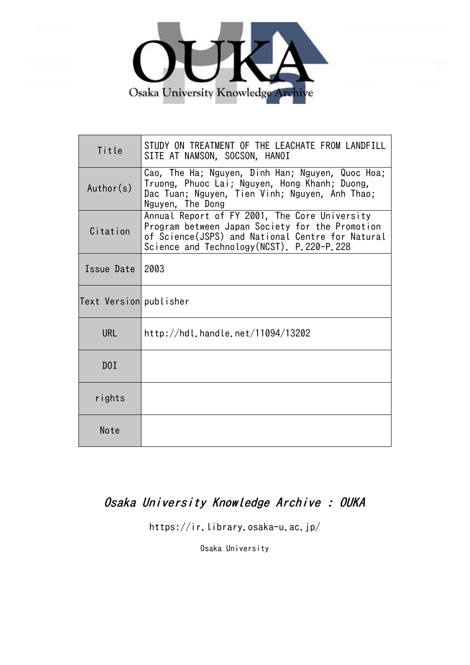

| Title                  | STUDY ON TREATMENT OF THE LEACHATE FROM LANDFILL<br>SITE AT NAMSON, SOCSON, HANOI                                                                                                                  |
|------------------------|----------------------------------------------------------------------------------------------------------------------------------------------------------------------------------------------------|
| Author(s)              | Cao, The Ha; Nguyen, Dinh Han; Nguyen, Quoc Hoa;<br>Truong, Phuoc Lai; Nguyen, Hong Khanh; Duong,<br>Dac Tuan; Nguyen, Tien Vinh; Nguyen, Anh Thao;<br>Nguyen, The Dong                            |
| Citation               | Annual Report of FY 2001, The Core University<br>Program between Japan Society for the Promotion<br>of Science(JSPS) and National Centre for Natural<br>Science and Technology (NCST). P.220-P.228 |
| Issue Date             | 2003                                                                                                                                                                                               |
| Text Version publisher |                                                                                                                                                                                                    |
| <b>URL</b>             | http://hdl.handle.net/11094/13202                                                                                                                                                                  |
| DOI                    |                                                                                                                                                                                                    |
| rights                 |                                                                                                                                                                                                    |
| Note                   |                                                                                                                                                                                                    |

# Osaka University Knowledge Archive : OUKA

https://ir.library.osaka-u.ac.jp/

Osaka University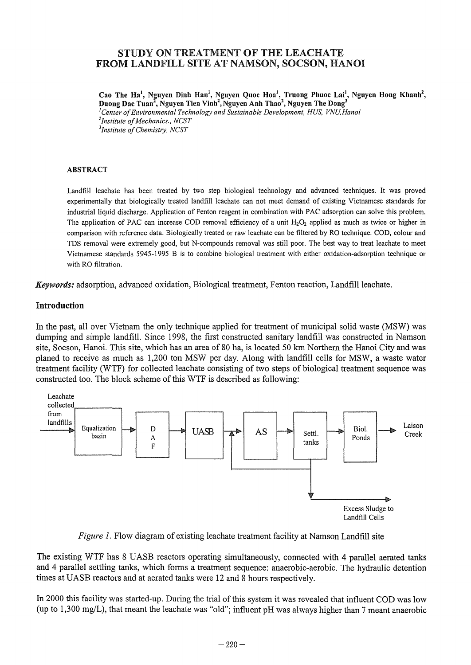# STUDY ON TREATMENT OF THE LEACHATE FROM LANDFILL SITE AT NAMSON, SOCSON, HANOI

Cao The Ha<sup>1</sup>, Nguyen Dinh Han<sup>1</sup>, Nguyen Quoc Hoa<sup>1</sup>, Truong Phuoc Lai<sup>1</sup>, Nguyen Hong Khanh<sup>2</sup>, Duong Dac Tuan<sup>2</sup>, Nguyen Tien Vinh<sup>2</sup>, Nguyen Anh Thao<sup>2</sup>, Nguyen The Dong<sup>3</sup> *lCenter of Environmental Technology and Sustainable Development, HUS, VNU,Hanoi* 

<sup>1</sup>*Institute of Mechanics., NCST 3 Institute of Chemistry, NCST* 

#### ABSTRACT

Landfill leachate has been treated by two step biological technology and advanced techniques. It was proved experimentally that biologically treated landfill leachate can not meet demand of existing Vietnamese standards for industrial liquid discharge. Application of Fenton reagent in combination with PAC adsorption can solve this problem. The application of PAC can increase COD removal efficiency of a unit *H<sub>2</sub>O<sub>2</sub>* applied as much as twice or higher in comparison with reference data. Biologically treated or raw leachate can be filtered by RO technique. COD, colour and TDS removal were extremely good, but N-compounds removal was still poor. The best way to treat leachate to meet Vietnamese standards 5945-1995 B is to combine biological treatment with either oxidation-adsorption technique or with RO filtration.

*Keywords:* adsorption, advanced oxidation, Biological treatment, Fenton reaction, Landfillleachate.

## Introduction

In the past, all over Vietnam the only technique applied for treatment of municipal solid waste (MSW) was dumping and simple landfill. Since 1998, the first constructed sanitary landfill was constructed in Namson site, Socson, Hanoi. This site, which has an area of 80 ha, is located 50 km Northern the Hanoi City and was planed to receive as much as 1,200 ton MSW per day. Along with landfill cells for MSW, a waste water treatment facility (WTF) for collected leachate consisting of two steps of biological treatment sequence was constructed too. The block scheme of this WTF is described as following:



*Figure 1*. Flow diagram of existing leachate treatment facility at Namson Landfill site

The existing WTF has 8 UASB reactors operating simultaneously, connected with 4 parallel aerated tanks and 4 parallel settling tanks, which forms a treatment sequence: anaerobic-aerobic. The hydraulic detention times at UASB reactors and at aerated tanks were 12 and 8 hours respectively.

In 2000 this facility was started-up. During the trial of this system it was revealed that influent COD was low (up to  $1,300 \text{ mg/L}$ ), that meant the leachate was "old"; influent pH was always higher than 7 meant anaerobic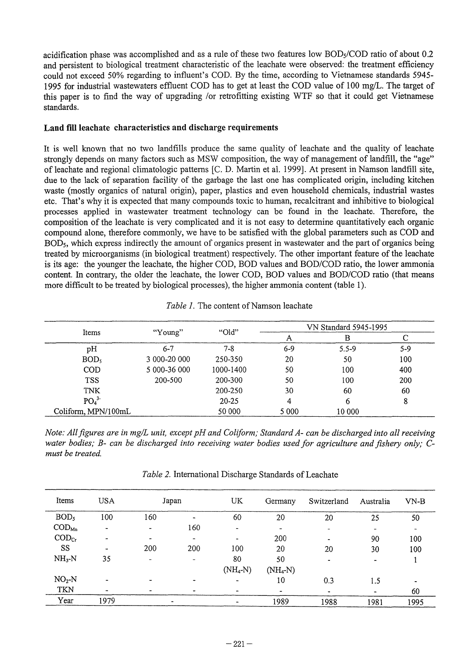acidification phase was accomplished and as a rule of these two features low BODs/COD ratio of about 0.2 and persistent to biological treatment characteristic of the leachate were observed: the treatment efficiency could not exceed 50% regarding to influent's COD. By the time, according to Vietnamese standards 5945- 1995 for industrial wastewaters effluent COD has to get at least the COD value of 100 mg/L. The target of this paper is to find the way of upgrading /or retrofitting existing WTF so that it could get Vietnamese standards.

#### **Land** fill leach ate **characteristics and discharge requirements**

It is well known that **no** two landfills produce the same quality of leachate and the quality of leachate strongly depends on many factors such as MSW composition, the way of management of landfill, the "age" of leachate and regional climatologic patterns [C. D. Martin et al. 1999]. At present in Namson landfill site, due to the lack of separation facility of the garbage the last one has complicated origin, including kitchen waste (mostly organics of natural origin), paper, plastics and even household chemicals, industrial wastes etc. That's why it is expected that many compounds toxic to human, recalcitrant and inhibitive to biological processes applied in wastewater treatment technology can be found in the leachate. Therefore, the composition of the leachate is very complicated and it is not easy to determine quantitatively each organic compound alone, therefore commonly, we have to be satisfied with the global parameters such as COD and BODs, which express indirectly the amount of organics present in wastewater and the part of organics being treated by microorganisms (in biological treatment) respectively. The other important feature of the leachate is its age: the younger the leachate, the higher COD, BOD values and BOD/COD ratio, the lower ammonia content. In contrary, the older the leachate, the lower COD, BOD values and BOD/COD ratio (that means more difficult to be treated by biological processes), the higher ammonia content (table 1).

|                              |              | "Old"     | VN Standard 5945-1995 |           |       |  |
|------------------------------|--------------|-----------|-----------------------|-----------|-------|--|
| Items                        | "Young"      |           | Α                     | в         |       |  |
| pН                           | $6 - 7$      | $7 - 8$   | 6-9                   | $5.5 - 9$ | $5-9$ |  |
| BOD,                         | 3 000-20 000 | 250-350   | 20                    | 50        | 100   |  |
| <b>COD</b>                   | 5 000-36 000 | 1000-1400 | 50                    | 100       | 400   |  |
| <b>TSS</b>                   | 200-500      | 200-300   | 50                    | 100       | 200   |  |
| <b>TNK</b>                   |              | 200-250   | 30                    | 60        | 60    |  |
| PO <sub>4</sub> <sup>3</sup> |              | $20 - 25$ | 4                     | 6         | 8     |  |
| Coliform, MPN/100mL          |              | 50 000    | 5 0 0 0               | 10 000    |       |  |

Table 1. The content of Namson leachate

*Note: All figures are in mg/L unit, except pH and Coliform; Standard A- can be discharged into all receiving water bodies; B- can be discharged into receiving water bodies used for agriculture and fishery only;* C*must be treated.* 

*Table 2.* International Discharge Standards of Leachate

| Items                      | <b>USA</b> |     | Japan                    | UK                   | Germany    | Switzerland           | Australia | $VN-B$ |
|----------------------------|------------|-----|--------------------------|----------------------|------------|-----------------------|-----------|--------|
| BOD <sub>5</sub>           | 100        | 160 |                          | 60                   | 20         | 20                    | 25        | 50     |
| $\mathrm{COD}_\mathrm{Mn}$ | ۰          | ۰   | 160                      | -                    |            | $\,$                  |           |        |
| $\text{COD}_{\text{Cr}}$   |            |     | $\overline{\phantom{a}}$ |                      | 200        | $\bullet$             | 90        | 100    |
| SS                         |            | 200 | 200                      | 100                  | 20         | 20                    | 30        | 100    |
| $NH3-N$                    | 35         | ۰   | $\overline{\phantom{0}}$ | 80                   | 50         | $\tilde{\phantom{a}}$ |           |        |
|                            |            |     |                          | $(NH_4-N)$           | $(NH_4-N)$ |                       |           |        |
| $NO2-N$                    |            |     |                          | $\ddot{\phantom{0}}$ | 10         | 0.3                   | 1.5       |        |
| TKN                        |            |     |                          | -                    |            | ۰                     |           | 60     |
| Year                       | 1979       |     |                          |                      | 1989       | 1988                  | 1981      | 1995   |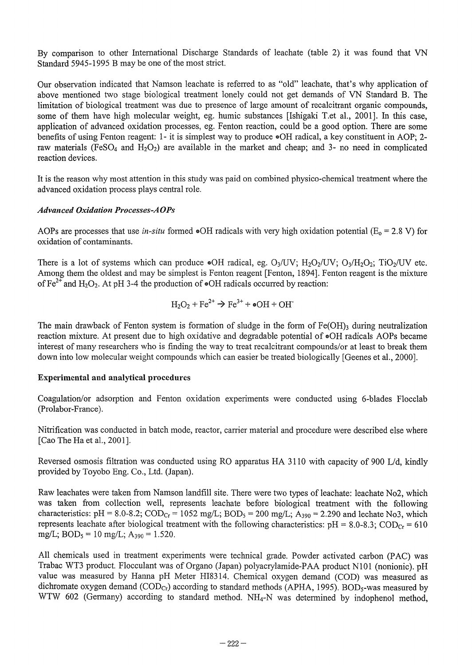By comparison to other International Discharge Standards of leachate (table 2) it was found that VN Standard 5945-1995 B may be one of the most strict.

Our observation indicated that Namson leachate is referred to as "old" leachate, that's why application of above mentioned two stage biological treatment lonely could not get demands of VN Standard B. The limitation of biological treatment was due to presence of large amount of recalcitrant organic compounds, some of them have high molecular weight, eg. humic substances [Ishigaki T.et al., 2001]. In this case, application of advanced oxidation processes, eg. Fenton reaction, could be a good option. There are some benefits of using Fenton reagent: 1- it is simplest way to produce  $\bullet$ OH radical, a key constituent in AOP; 2raw materials (FeSO<sub>4</sub> and H<sub>2</sub>O<sub>2</sub>) are available in the market and cheap; and 3- no need in complicated reaction devices.

It is the reason why most attention in this study was paid on combined physico-chemical treatment where the advanced oxidation process plays central role.

## **Advanced Oxidation Processes-AOPs**

AOPs are processes that use *in-situ* formed  $\bullet$ OH radicals with very high oxidation potential (E<sub>o</sub> = 2.8 V) for oxidation of contaminants.

There is a lot of systems which can produce  $\bullet$ OH radical, eg. O<sub>3</sub>/UV; H<sub>2</sub>O<sub>2</sub>/UV; O<sub>3</sub>/H<sub>2</sub>O<sub>2</sub>; TiO<sub>2</sub>/UV etc. Among them the oldest and may be simplest is Fenton reagent [Fenton, 1894]. Fenton reagent is the mixture of  $\text{Fe}^{2+}$  and H<sub>2</sub>O<sub>2</sub>. At pH 3-4 the production of  $\bullet$ OH radicals occurred by reaction:

$$
H_2O_2 + Fe^{2+} \rightarrow Fe^{3+} + \bullet OH + OH^+
$$

The main drawback of Fenton system is formation of sludge in the form of  $Fe(OH)$ <sub>3</sub> during neutralization reaction mixture. At present due to high oxidative and degradable potential of  $\bullet$ OH radicals AOPs became interest of many researchers who is finding the way to treat recalcitrant compounds/or at least to break them down into low molecular weight compounds which can easier be treated biologically [Geenes et aI., 2000].

#### Experimental and analytical procedures

Coagulation/or adsorption and Fenton oxidation experiments were conducted using 6-blades Flocc1ab (Prolabor-France).

Nitrification was conducted in batch mode, reactor, carrier material and procedure were described else where [Cao The Ha et al., 2001].

Reversed osmosis filtration was conducted using RO apparatus HA 3110 with capacity of 900 Ud, kindly provided by Toyobo Eng. Co., Ltd. (Japan).

Raw leachates were taken from Namson landfill site. There were two types of leachate: leachate N02, which was taken from collection well, represents leachate before biological treatment with the following characteristics: pH = 8.0-8.2;  $\text{COD}_{\text{Cr}} = 1052 \text{ mg/L}$ ;  $\text{BOD}_5 = 200 \text{ mg/L}$ ;  $\text{A}_{390} = 2.290$  and lechate No3, which represents leachate after biological treatment with the following characteristics:  $pH = 8.0-8.3$ ;  $\text{COD}_{Cr} = 610$ mg/L;  $BOD_5 = 10$  mg/L;  $A_{390} = 1.520$ .

All chemicals used in treatment experiments were technical grade. Powder activated carbon (PAC) was Trabac WT3 product. Flocculant was of Organo (Japan) polyacrylamide-PAA product NIOI (nonionic). pH value was measured by Hanna pH Meter HI83 14. Chemical oxygen demand (COD) was measured as dichromate oxygen demand (COD<sub>Cr</sub>) according to standard methods (APHA, 1995). BOD<sub>5</sub>-was measured by WTW 602 (Germany) according to standard method. NH4-N was determined by indophenol method,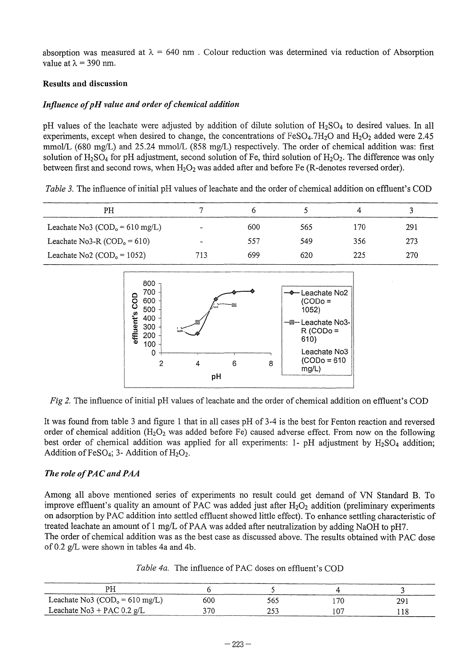absorption was measured at  $\lambda = 640$  nm. Colour reduction was determined via reduction of Absorption value at  $\lambda = 390$  nm.

## Results and discussion

## *Influence of pH value and order of chemical addition*

pH values of the leachate were adjusted by addition of dilute solution of  $H_2SO_4$  to desired values. In all experiments, except when desired to change, the concentrations of  $FeSO<sub>4</sub>$ .7H<sub>2</sub>O and H<sub>2</sub>O<sub>2</sub> added were 2.45 mmol/L (680 mg/L) and 25.24 mmol/L (858 mg/L) respectively. The order of chemical addition was: first solution of  $H_2SO_4$  for pH adjustment, second solution of Fe, third solution of  $H_2O_2$ . The difference was only between first and second rows, when  $H_2O_2$  was added after and before Fe (R-denotes reversed order).

*Table* 3. The influence of initial pH values of leachate and the order of chemical addition on effluent's COD

| PH                                                 |     |     |     |     |     |
|----------------------------------------------------|-----|-----|-----|-----|-----|
| Leachate No3 ( $\text{COD}_0 = 610 \text{ mg/L}$ ) |     | 600 | 565 | 170 | 291 |
| Leachate No3-R $(COD0 = 610)$                      |     | 557 | 549 | 356 | 273 |
| Leachate No2 ( $\text{COD}_0 = 1052$ )             | 713 | 699 | 620 | 225 | 270 |



*Fig 2.* The influence of initial pH values of leachate and the order of chemical addition on effluent's COD

It was found from table 3 and figure 1 that in all cases pH of 3-4 is the best for Fenton reaction and reversed order of chemical addition  $(H_2O_2$  was added before Fe) caused adverse effect. From now on the following best order of chemical addition was applied for all experiments: 1- pH adjustment by  $H_2SO_4$  addition; Addition of FeSO<sub>4</sub>; 3- Addition of  $H_2O_2$ .

# **The role of PAC and PAA**

Among all above mentioned series of experiments no result could get demand of VN Standard B. To improve effluent's quality an amount of PAC was added just after  $H_2O_2$  addition (preliminary experiments on adsorption by PAC addition into settled effluent showed little effect). To enhance settling characteristic of treated leachate an amount of 1 mg/L of PAA was added after neutralization by adding NaOH to pH7. The order of chemical addition was as the best case as discussed above. The results obtained with PAC dose of 0.2  $g/L$  were shown in tables 4a and 4b.

| Table 4a. The influence of PAC doses on effluent's COD |  |
|--------------------------------------------------------|--|
|--------------------------------------------------------|--|

| Leachate No3 ( $\text{COD}_0 = 610 \text{ mg/L}$ ) | 600  | 565 | l 70 | 29. |
|----------------------------------------------------|------|-----|------|-----|
| Leachate $No3 + PAC 0.2 g/L$                       | 370- |     | LO.  |     |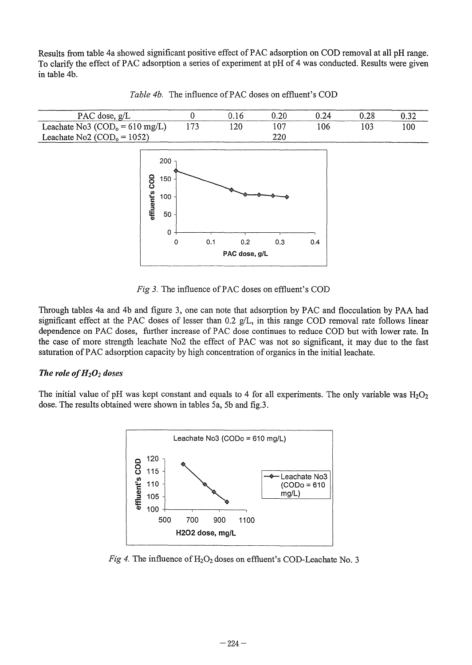Results from table 4a showed significant positive effect of PAC adsorption on COD removal at all pH range. To clarify the effect of PAC adsorption a series of experiment at pH of 4 was conducted. Results were given in table 4b.



*Table 4b.* The influence of PAC doses on effluent's COD

*Fig 3.* The influence of PAC doses on effluent's COD

Through tables 4a and 4b and figure 3, one can note that adsorption by PAC and flocculation by PAA had significant effect at the PAC doses of lesser than 0.2 g/L, in this range COD removal rate follows linear dependence on PAC doses, further increase of PAC dose continues to reduce COD but with lower rate. In the case of more strength leachate No2 the effect of PAC was not so significant, it may due to the fast saturation of PAC adsorption capacity by high concentration of organics in the initial leachate.

#### The role of  $H_2O_2$  doses

The initial value of pH was kept constant and equals to 4 for all experiments. The only variable was  $H_2O_2$ dose. The results obtained were shown in tables 5a, 5b and fig.3.



*Fig 4.* The influence of  $H_2O_2$  doses on effluent's COD-Leachate No. 3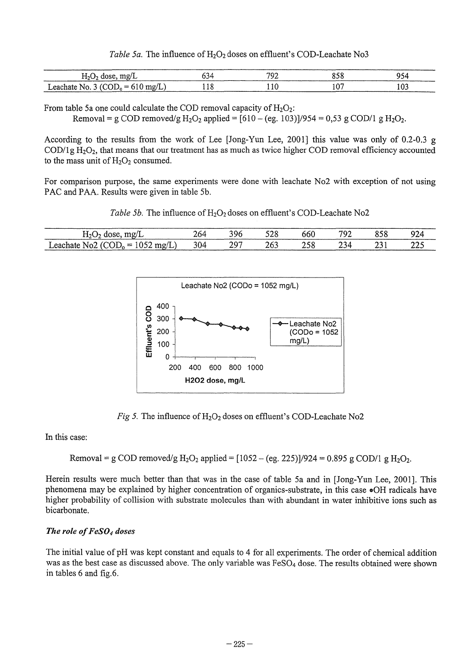*Table 5a.* The influence of H<sub>2</sub>O<sub>2</sub> doses on effluent's COD-Leachate No3

| mg/L<br>$H2U2$ dos<br>. .         | ⊶ור | רחד | n c<br>838 |  |
|-----------------------------------|-----|-----|------------|--|
| $1.62$ chate No. 3 (UUI), = 610 ° |     |     | n'<br>٠ν   |  |

From table 5a one could calculate the COD removal capacity of  $H_2O_2$ :

Removal = g COD removed/g  $H_2O_2$  applied =  $[610 - (eg. 103)]/954 = 0.53$  g COD/1 g  $H_2O_2$ .

According to the results from the work of Lee [Jong-Yun Lee, 2001] this value was only of 0.2-0.3 g  $\text{COD/1g H}_2\text{O}_2$ , that means that our treatment has as much as twice higher COD removal efficiency accounted to the mass unit of  $H_2O_2$  consumed.

For comparison purpose, the same experiments were done with leachate N02 with exception of not using PAC and PAA. Results were given in table 5b.

*Table 5b.* The influence of H<sub>2</sub>O<sub>2</sub> doses on effluent's COD-Leachate No2

| $T^{\prime}$                                          | -64 | w         | ぐつく<br>しんし | ხხს | 700<br>-- | ບຸບ | -44      |
|-------------------------------------------------------|-----|-----------|------------|-----|-----------|-----|----------|
| .<br>eacl<br>ו == ( וו<br>ייי<br>NO)<br>----<br>.<br> | 304 | ר ס<br>رے | ∠ບ         | ن ب | ۰υ<br>۔ ب |     | <u>.</u> |



*Fig 5*. The influence of  $H_2O_2$  doses on effluent's COD-Leachate No2

In this case:

Removal = g COD removed/g 
$$
H_2O_2
$$
 applied = [1052 – (eg. 225)]/924 = 0.895 g COD/1 g  $H_2O_2$ .

Herein results were much better than that was in the case of table 5a and in [Jong-Yun Lee, 2001]. This phenomena may be explained by higher concentration of organics-substrate, in this case .OH radicals have higher probability of collision with substrate molecules than with abundant in water inhibitive ions such as bicarbonate.

# *The role of FeS04 doses*

The initial value of pH was kept constant and equals to 4 for all experiments. The order of chemical addition was as the best case as discussed above. The only variable was FeS04 dose. The results obtained were shown in tables 6 and fig.6.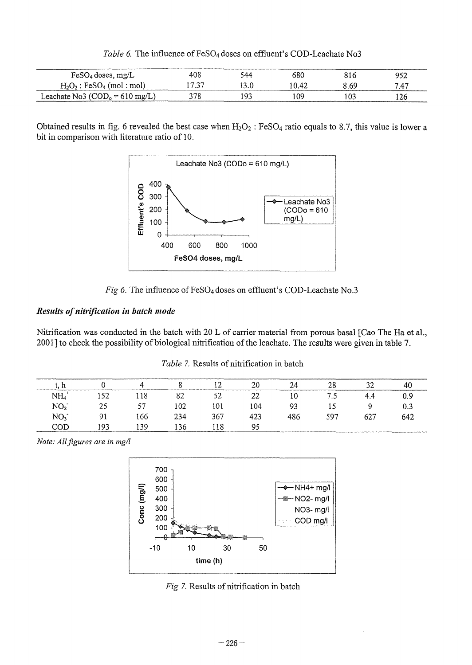| $FeSO4$ doses, mg/L                     | 408   | 544 | 680   | 816  | 952  |
|-----------------------------------------|-------|-----|-------|------|------|
| $H_2O_2$ : FeSO <sub>4</sub> (mol: mol) | 17.37 |     | 10.42 | 8.69 | 7.47 |
| Leachate No3 $(COD0 = 610$ mg/L)        |       | ۵٢  | ۱09   | 10?  | 126  |

Table 6. The influence of FeSO<sub>4</sub> doses on effluent's COD-Leachate No3

Obtained results in fig. 6 revealed the best case when  $H_2O_2$ : FeSO<sub>4</sub> ratio equals to 8.7, this value is lower a bit in comparison with literature ratio of 10.





# *Results of nitrification in batch mode*

Nitrification was conducted in the batch with 20 L of carrier material from porous basal [Cao The Ha et aI., 2001] to check the possibility of biological nitrification of the leachate. The results were given in table 7.

|                 |                |     |      | $\overline{a}$ | 20  | 24  | 28  |     | 40  |
|-----------------|----------------|-----|------|----------------|-----|-----|-----|-----|-----|
| NH <sub>4</sub> | 152            | 118 | 82   | 52             | 22  | 10  | 7.5 | 4.4 |     |
| NO <sub>2</sub> | 25             | 57  | 102  | 101            | 104 | 93  | 15  |     | 0.3 |
| NO <sub>3</sub> | Q <sub>1</sub> | 66ء | 234  | 367            | 423 | 486 | 597 | 627 | 642 |
| COD             | 193            | .39 | l 36 | ! 18           | 95  |     |     |     |     |

*Table* 7. Results of nitrification in batch

*Note: All figures are in mg/l* 



*Fig* 7. Results of nitrification in batch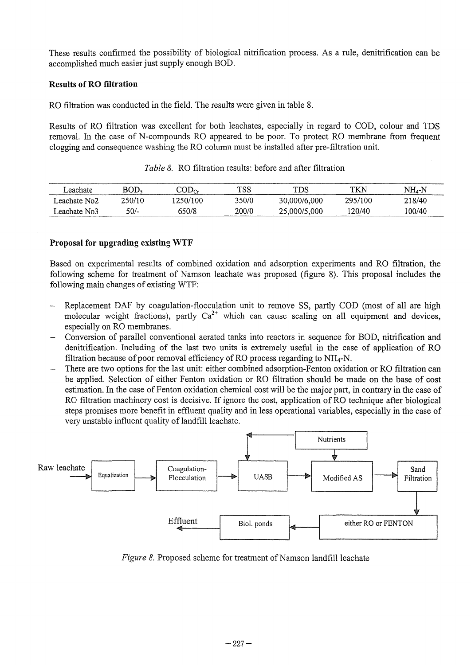These results confirmed the possibility of biological nitrification process. As a rule, denitrification can be accomplished much easier just supply enough BOD.

## **Results of RO filtration**

RO filtration was conducted in the field. The results were given in table 8.

Results of RO filtration was excellent for both leachates, especially in regard to COD, colour and TDS removal. In the case of N-compounds RO appeared to be poor. To protect RO membrane from frequent clogging and consequence washing the RO column must be installed after pre-filtration unit.

| eachate      | BOD,   | $\mathop{\rm [OD_{Cr}}$ | TSS   | TDS          | TKN     | NH.-N  |
|--------------|--------|-------------------------|-------|--------------|---------|--------|
| Leachate No2 | 250/10 | 1250/100                | 350/0 | 30,000/6,000 | 295/100 | 218/40 |
| Leachate No3 | $50/-$ | 650/8                   | 200/0 | 25,000/5,000 | 120/40  | 100/40 |

*Table* 8. RO filtration results: before and after filtration

# **Proposal for upgradiug existing WTF**

Based on experimental results of combined oxidation and adsorption experiments and RO filtration, the following scheme for treatment of Namson leachate was proposed (figure 8). This proposal includes the following main changes of existing WTF:

- Replacement DAF by coagulation-flocculation unit to remove SS, partly COD (most of all are high molecular weight fractions), partly  $Ca^{2+}$  which can cause scaling on all equipment and devices, especially on RO membranes.
- Conversion of parallel conventional aerated tanks into reactors in sequence for BOD, nitrification and denitrification. Including of the last two units is extremely useful in the case of application of RO filtration because of poor removal efficiency of RO process regarding to  $NH_4-N$ .
- There are two options for the last unit: either combined adsorption-Fenton oxidation or RO filtration can be applied. Selection of either Fenton oxidation or RO filtration should be made on the base of cost estimation. In the case of Fenton oxidation chemical cost will be the major part, in contrary in the case of RO filtration machinery cost is decisive. If ignore the cost, application of RO technique after biological steps promises more benefit in effluent quality and in less operational variables, especially in the case of very unstable influent quality of landfill leachate.



*Figure 8.* Proposed scheme for treatment of Namson landfill leachate